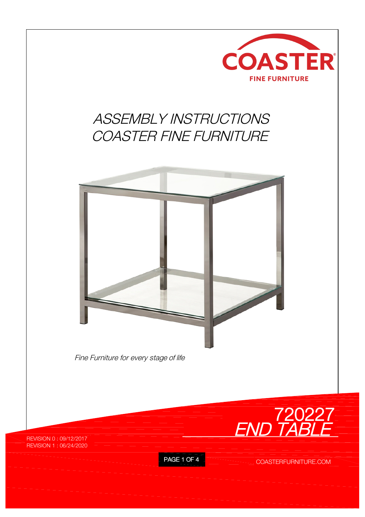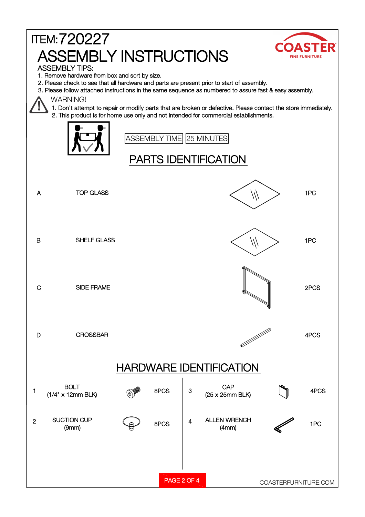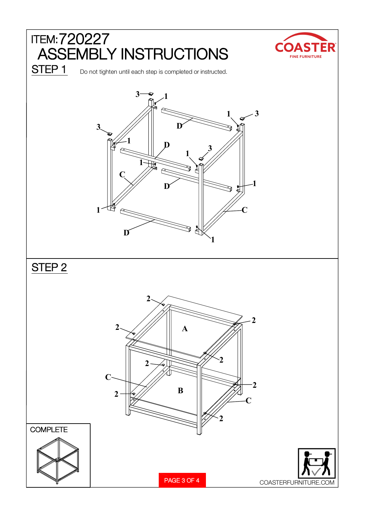